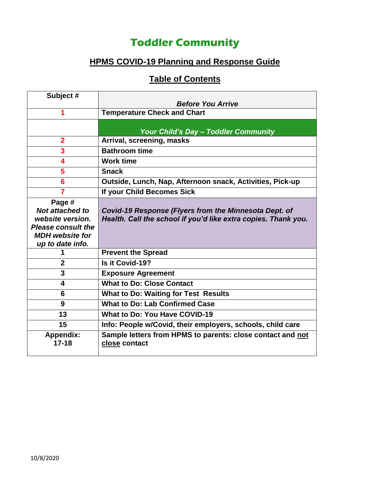# **Toddler Community**

## **HPMS COVID-19 Planning and Response Guide**

## **Table of Contents**

| Subject #                 |                                                                             |
|---------------------------|-----------------------------------------------------------------------------|
|                           | <b>Before You Arrive</b>                                                    |
|                           | <b>Temperature Check and Chart</b>                                          |
|                           |                                                                             |
|                           | Your Child's Day - Toddler Community                                        |
| $\overline{2}$            | Arrival, screening, masks                                                   |
| 3                         | <b>Bathroom time</b>                                                        |
| 4                         | <b>Work time</b>                                                            |
| 5                         | <b>Snack</b>                                                                |
| 6                         | Outside, Lunch, Nap, Afternoon snack, Activities, Pick-up                   |
| 7                         | If your Child Becomes Sick                                                  |
| Page #                    |                                                                             |
| <b>Not attached to</b>    | Covid-19 Response (Flyers from the Minnesota Dept. of                       |
| website version.          | Health. Call the school if you'd like extra copies. Thank you.              |
| <b>Please consult the</b> |                                                                             |
| <b>MDH</b> website for    |                                                                             |
| up to date info.          |                                                                             |
|                           | <b>Prevent the Spread</b>                                                   |
| $\mathbf 2$               | Is it Covid-19?                                                             |
| 3                         | <b>Exposure Agreement</b>                                                   |
| 4                         | <b>What to Do: Close Contact</b>                                            |
| 6                         | <b>What to Do: Waiting for Test Results</b>                                 |
| 9                         | <b>What to Do: Lab Confirmed Case</b>                                       |
| 13                        | <b>What to Do: You Have COVID-19</b>                                        |
| 15                        | Info: People w/Covid, their employers, schools, child care                  |
| Appendix:<br>$17 - 18$    | Sample letters from HPMS to parents: close contact and not<br>close contact |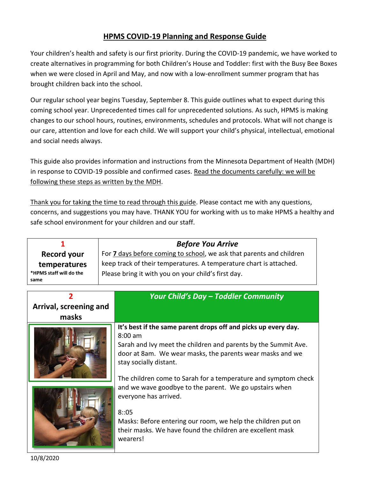#### **HPMS COVID-19 Planning and Response Guide**

Your children's health and safety is our first priority. During the COVID-19 pandemic, we have worked to create alternatives in programming for both Children's House and Toddler: first with the Busy Bee Boxes when we were closed in April and May, and now with a low-enrollment summer program that has brought children back into the school.

Our regular school year begins Tuesday, September 8. This guide outlines what to expect during this coming school year. Unprecedented times call for unprecedented solutions. As such, HPMS is making changes to our school hours, routines, environments, schedules and protocols. What will not change is our care, attention and love for each child. We will support your child's physical, intellectual, emotional and social needs always.

This guide also provides information and instructions from the Minnesota Department of Health (MDH) in response to COVID-19 possible and confirmed cases. Read the documents carefully: we will be following these steps as written by the MDH.

Thank you for taking the time to read through this guide. Please contact me with any questions, concerns, and suggestions you may have. THANK YOU for working with us to make HPMS a healthy and safe school environment for your children and our staff.

| <b>Record your</b><br>temperatures<br>*HPMS staff will do the<br>same | <b>Before You Arrive</b><br>For <b>7</b> days before coming to school, we ask that parents and children<br>keep track of their temperatures. A temperature chart is attached.<br>Please bring it with you on your child's first day.                                                                                                                                                                                                                                                                                                        |
|-----------------------------------------------------------------------|---------------------------------------------------------------------------------------------------------------------------------------------------------------------------------------------------------------------------------------------------------------------------------------------------------------------------------------------------------------------------------------------------------------------------------------------------------------------------------------------------------------------------------------------|
| Arrival, screening and<br>masks                                       | Your Child's Day - Toddler Community                                                                                                                                                                                                                                                                                                                                                                                                                                                                                                        |
|                                                                       | It's best if the same parent drops off and picks up every day.<br>$8:00$ am<br>Sarah and Ivy meet the children and parents by the Summit Ave.<br>door at 8am. We wear masks, the parents wear masks and we<br>stay socially distant.<br>The children come to Sarah for a temperature and symptom check<br>and we wave goodbye to the parent. We go upstairs when<br>everyone has arrived.<br>8:05<br>Masks: Before entering our room, we help the children put on<br>their masks. We have found the children are excellent mask<br>wearers! |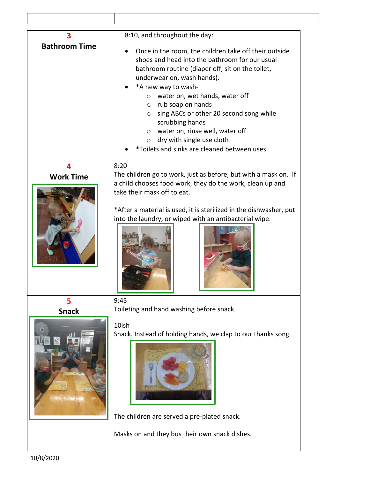| 3                    | 8:10, and throughout the day:                                                                                                                                                                                                                                                                                                                                                                                                                                                                          |
|----------------------|--------------------------------------------------------------------------------------------------------------------------------------------------------------------------------------------------------------------------------------------------------------------------------------------------------------------------------------------------------------------------------------------------------------------------------------------------------------------------------------------------------|
| <b>Bathroom Time</b> | Once in the room, the children take off their outside<br>shoes and head into the bathroom for our usual<br>bathroom routine (diaper off, sit on the toilet,<br>underwear on, wash hands).<br>*A new way to wash-<br>water on, wet hands, water off<br>$\circ$<br>$\circ$ rub soap on hands<br>sing ABCs or other 20 second song while<br>$\circ$<br>scrubbing hands<br>$\circ$ water on, rinse well, water off<br>dry with single use cloth<br>$\circ$<br>*Toilets and sinks are cleaned between uses. |
| 4                    | 8:20                                                                                                                                                                                                                                                                                                                                                                                                                                                                                                   |
| <b>Work Time</b>     | The children go to work, just as before, but with a mask on. If                                                                                                                                                                                                                                                                                                                                                                                                                                        |
|                      | a child chooses food work, they do the work, clean up and<br>take their mask off to eat.<br>*After a material is used, it is sterilized in the dishwasher, put<br>into the laundry, or wiped with an antibacterial wipe.                                                                                                                                                                                                                                                                               |
| 5                    | 9:45                                                                                                                                                                                                                                                                                                                                                                                                                                                                                                   |
| <b>Snack</b>         | Toileting and hand washing before snack.                                                                                                                                                                                                                                                                                                                                                                                                                                                               |
|                      | 10ish<br>Snack. Instead of holding hands, we clap to our thanks song.<br>The children are served a pre-plated snack.                                                                                                                                                                                                                                                                                                                                                                                   |
|                      | Masks on and they bus their own snack dishes.                                                                                                                                                                                                                                                                                                                                                                                                                                                          |

 $\mathsf I$